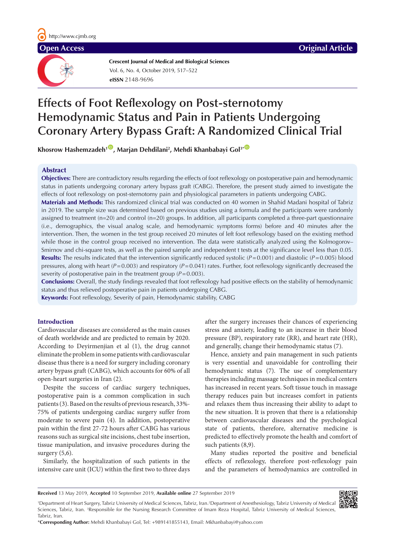**Crescent Journal of Medical and Biological Sciences eISSN** 2148-9696 Vol. 6, No. 4, October 2019, 517–522

# **Effects of Foot Reflexology on Post-sternotomy Hemodynamic Status and Pain in Patients Undergoing Coronary Artery Bypass Graft: A Randomized Clinical Trial**

Khosrow Hashemzadeh<sup>1</sup> , Marjan Dehdilani<sup>2</sup>, Mehdi Khanbabayi Gol<sup>3\* (1</sup>

# **Abstract**

**Objectives:** There are contradictory results regarding the effects of foot reflexology on postoperative pain and hemodynamic status in patients undergoing coronary artery bypass graft (CABG). Therefore, the present study aimed to investigate the effects of foot reflexology on post-sternotomy pain and physiological parameters in patients undergoing CABG.

**Materials and Methods:** This randomized clinical trial was conducted on 40 women in Shahid Madani hospital of Tabriz in 2019. The sample size was determined based on previous studies using a formula and the participants were randomly assigned to treatment (n=20) and control (n=20) groups. In addition, all participants completed a three-part questionnaire (i.e., demographics, the visual analog scale, and hemodynamic symptoms forms) before and 40 minutes after the intervention. Then, the women in the test group received 20 minutes of left foot reflexology based on the existing method while those in the control group received no intervention. The data were statistically analyzed using the Kolmogorov– Smirnov and chi-square tests, as well as the paired sample and independent t tests at the significance level less than 0.05. **Results:** The results indicated that the intervention significantly reduced systolic (*P*=0.001) and diastolic (*P*=0.005) blood pressures, along with heart (*P*=0.003) and respiratory (*P*=0.041) rates. Further, foot reflexology significantly decreased the severity of postoperative pain in the treatment group  $(P=0.003)$ .

**Conclusions:** Overall, the study findings revealed that foot reflexology had positive effects on the stability of hemodynamic status and thus relieved postoperative pain in patients undergoing CABG.

**Keywords:** Foot reflexology, Severity of pain, Hemodynamic stability, CABG

# **Introduction**

Cardiovascular diseases are considered as the main causes of death worldwide and are predicted to remain by 2020. According to Deyirmenjian et al (1), the drug cannot eliminate the problem in some patients with cardiovascular disease thus there is a need for surgery including coronary artery bypass graft (CABG), which accounts for 60% of all open-heart surgeries in Iran (2).

Despite the success of cardiac surgery techniques, postoperative pain is a common complication in such patients (3). Based on the results of previous research, 33%- 75% of patients undergoing cardiac surgery suffer from moderate to severe pain (4). In addition, postoperative pain within the first 27-72 hours after CABG has various reasons such as surgical site incisions, chest tube insertion, tissue manipulation, and invasive procedures during the surgery  $(5,6)$ .

Similarly, the hospitalization of such patients in the intensive care unit (ICU) within the first two to three days after the surgery increases their chances of experiencing stress and anxiety, leading to an increase in their blood pressure (BP), respiratory rate (RR), and heart rate (HR), and generally, change their hemodynamic status (7).

Hence, anxiety and pain management in such patients is very essential and unavoidable for controlling their hemodynamic status (7). The use of complementary therapies including massage techniques in medical centers has increased in recent years. Soft tissue touch in massage therapy reduces pain but increases comfort in patients and relaxes them thus increasing their ability to adapt to the new situation. It is proven that there is a relationship between cardiovascular diseases and the psychological state of patients, therefore, alternative medicine is predicted to effectively promote the health and comfort of such patients (8,9).

Many studies reported the positive and beneficial effects of reflexology, therefore post-reflexology pain and the parameters of hemodynamics are controlled in



1 Department of Heart Surgery, Tabriz University of Medical Sciences, Tabriz, Iran.2 Department of Anesthesiology, Tabriz University of Medical Sciences, Tabriz, Iran. <sup>3</sup>Responsible for the Nursing Research Committee of Imam Reza Hospital, Tabriz University of Medical Sciences, Tabriz, Iran.

\***Corresponding Author:** Mehdi Khanbabayi Gol, Tel: +989141855143, Email: Mkhanbabayi@yahoo.com

**Received** 13 May 2019, **Accepted** 10 September 2019, **Available online** 27 September 2019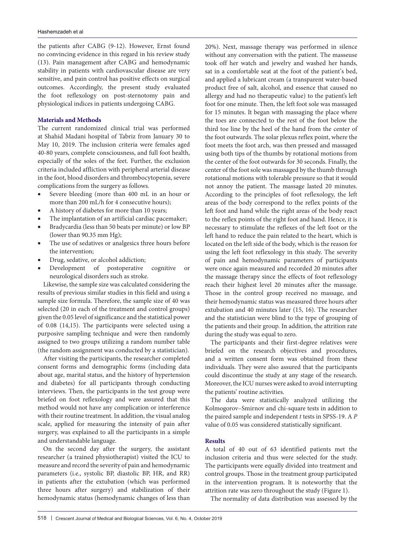the patients after CABG (9-12). However, Ernst found no convincing evidence in this regard in his review study (13). Pain management after CABG and hemodynamic stability in patients with cardiovascular disease are very sensitive, and pain control has positive effects on surgical outcomes. Accordingly, the present study evaluated the foot reflexology on post-sternotomy pain and physiological indices in patients undergoing CABG.

#### **Materials and Methods**

The current randomized clinical trial was performed at Shahid Madani hospital of Tabriz from January 30 to May 10, 2019. The inclusion criteria were females aged 40-80 years, complete consciousness, and full foot health, especially of the soles of the feet. Further, the exclusion criteria included affliction with peripheral arterial disease in the foot, blood disorders and thrombocytopenia, severe complications from the surgery as follows.

- Severe bleeding (more than 400 mL in an hour or more than 200 mL/h for 4 consecutive hours);
- A history of diabetes for more than 10 years;
- The implantation of an artificial cardiac pacemaker; Bradycardia (less than 50 beats per minute) or low BP
- (lower than 90.35 mm Hg); The use of sedatives or analgesics three hours before the intervention;
- Drug, sedative, or alcohol addiction;
- Development of postoperative cognitive or neurological disorders such as stroke.

Likewise, the sample size was calculated considering the results of previous similar studies in this field and using a sample size formula. Therefore, the sample size of 40 was selected (20 in each of the treatment and control groups) given the 0.05 level of significance and the statistical power of 0.08 (14,15). The participants were selected using a purposive sampling technique and were then randomly assigned to two groups utilizing a random number table (the random assignment was conducted by a statistician).

After visiting the participants, the researcher completed consent forms and demographic forms (including data about age, marital status, and the history of hypertension and diabetes) for all participants through conducting interviews. Then, the participants in the test group were briefed on foot reflexology and were assured that this method would not have any complication or interference with their routine treatment. In addition, the visual analog scale, applied for measuring the intensity of pain after surgery, was explained to all the participants in a simple and understandable language.

On the second day after the surgery, the assistant researcher (a trained physiotherapist) visited the ICU to measure and record the severity of pain and hemodynamic parameters (i.e., systolic BP, diastolic BP, HR, and RR) in patients after the extubation (which was performed three hours after surgery) and stabilization of their hemodynamic status (hemodynamic changes of less than

20%). Next, massage therapy was performed in silence without any conversation with the patient. The masseuse took off her watch and jewelry and washed her hands, sat in a comfortable seat at the foot of the patient's bed, and applied a lubricant cream (a transparent water-based product free of salt, alcohol, and essence that caused no allergy and had no therapeutic value) to the patient's left foot for one minute. Then, the left foot sole was massaged for 15 minutes. It began with massaging the place where the toes are connected to the rest of the foot below the third toe line by the heel of the hand from the center of the foot outwards. The solar plexus reflex point, where the foot meets the foot arch, was then pressed and massaged using both tips of the thumbs by rotational motions from the center of the foot outwards for 30 seconds. Finally, the center of the foot sole was massaged by the thumb through rotational motions with tolerable pressure so that it would not annoy the patient. The massage lasted 20 minutes. According to the principles of foot reflexology, the left areas of the body correspond to the reflex points of the left foot and hand while the right areas of the body react to the reflex points of the right foot and hand. Hence, it is necessary to stimulate the reflexes of the left foot or the left hand to reduce the pain related to the heart, which is located on the left side of the body, which is the reason for using the left foot reflexology in this study. The severity of pain and hemodynamic parameters of participants were once again measured and recorded 20 minutes after the massage therapy since the effects of foot reflexology reach their highest level 20 minutes after the massage. Those in the control group received no massage, and their hemodynamic status was measured three hours after extubation and 40 minutes later (15, 16). The researcher and the statistician were blind to the type of grouping of the patients and their group. In addition, the attrition rate during the study was equal to zero.

The participants and their first-degree relatives were briefed on the research objectives and procedures, and a written consent form was obtained from these individuals. They were also assured that the participants could discontinue the study at any stage of the research. Moreover, the ICU nurses were asked to avoid interrupting the patients' routine activities.

The data were statistically analyzed utilizing the Kolmogorov–Smirnov and chi-square tests in addition to the paired sample and independent *t* tests in SPSS-19. A *P*  value of 0.05 was considered statistically significant.

### **Results**

A total of 40 out of 63 identified patients met the inclusion criteria and thus were selected for the study. The participants were equally divided into treatment and control groups. Those in the treatment group participated in the intervention program. It is noteworthy that the attrition rate was zero throughout the study (Figure 1).

The normality of data distribution was assessed by the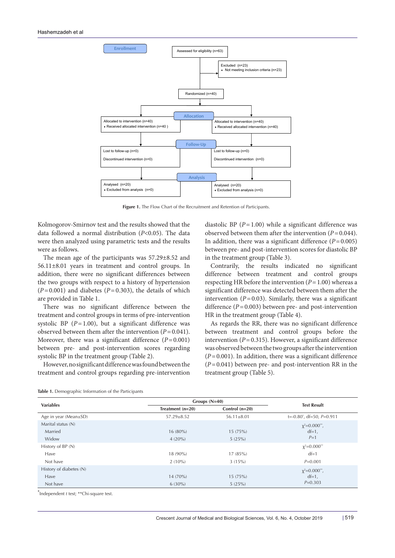

Figure 1. The Flow Chart of the Recruitment and Retention of Participants.

Kolmogorov-Smirnov test and the results showed that the data followed a normal distribution (*P*<0.05). The data were then analyzed using parametric tests and the results were as follows.

The mean age of the participants was 57.29±8.52 and 56.11±8.01 years in treatment and control groups. In addition, there were no significant differences between the two groups with respect to a history of hypertension  $(P=0.001)$  and diabetes  $(P=0.303)$ , the details of which are provided in Table 1.

There was no significant difference between the treatment and control groups in terms of pre-intervention systolic BP  $(P=1.00)$ , but a significant difference was observed between them after the intervention (*P*=0.041). Moreover, there was a significant difference  $(P=0.001)$ between pre- and post-intervention scores regarding systolic BP in the treatment group (Table 2).

However, no significant difference was found between the treatment and control groups regarding pre-intervention

diastolic BP (*P*=1.00) while a significant difference was observed between them after the intervention (*P*=0.044). In addition, there was a significant difference  $(P=0.005)$ between pre- and post-intervention scores for diastolic BP in the treatment group (Table 3).

Contrarily, the results indicated no significant difference between treatment and control groups respecting HR before the intervention  $(P=1.00)$  whereas a significant difference was detected between them after the intervention  $(P=0.03)$ . Similarly, there was a significant difference (*P*=0.003) between pre- and post-intervention HR in the treatment group (Table 4).

As regards the RR, there was no significant difference between treatment and control groups before the intervention  $(P=0.315)$ . However, a significant difference was observed between the two groups after the intervention  $(P=0.001)$ . In addition, there was a significant difference (*P*=0.041) between pre- and post-intervention RR in the treatment group (Table 5).

|  | Table 1. Demographic Information of the Participants |  |  |  |
|--|------------------------------------------------------|--|--|--|
|--|------------------------------------------------------|--|--|--|

| <b>Variables</b>        | Groups $(N=40)$    | <b>Test Result</b> |                                      |
|-------------------------|--------------------|--------------------|--------------------------------------|
|                         | Treatment $(n=20)$ | Control $(n=20)$   |                                      |
| Age in year (Mean±SD)   | $57.29 \pm 8.52$   | $56.11 \pm 8.01$   | $t = -0.80^{\circ}$ , df=50, P=0.911 |
| Marital status (N)      |                    |                    | $\chi^2 = 0.000^{**}$ ,              |
| Married                 | $16(80\%)$         | 15(75%)            | $df=1$ ,                             |
| Widow                   | $4(20\%)$          | 5(25%)             | $P=1$                                |
| History of BP (N)       |                    |                    | $\chi^2$ =0.000 <sup>**</sup>        |
| Have                    | 18 (90%)           | 17(85%)            | $df=1$                               |
| Not have                | $2(10\%)$          | 3(15%)             | $P=0.001$                            |
| History of diabetes (N) |                    |                    |                                      |
| Have                    | $14(70\%)$         | 15(75%)            | $df=1$ ,                             |
| Not have                | $6(30\%)$          | 5(25%)             | $P=0.303$                            |
|                         |                    |                    | $\chi^2$ =0.000 <sup>**</sup> ,      |

\* Independent *t* test; \*\*Chi-square test.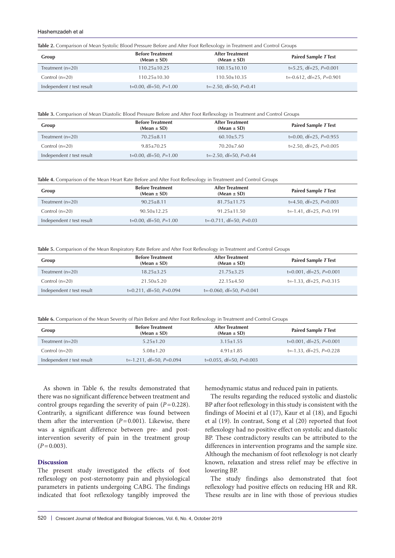#### Hashemzadeh et al

| Table 2. Comparison of Mean Systolic Blood Pressure Before and After Foot Reflexology in Treatment and Control Groups |  |
|-----------------------------------------------------------------------------------------------------------------------|--|
|-----------------------------------------------------------------------------------------------------------------------|--|

| Group                     | <b>Before Treatment</b><br>$(Mean \pm SD)$ | <b>After Treatment</b><br>$(Mean \pm SD)$ | <b>Paired Sample T Test</b>   |
|---------------------------|--------------------------------------------|-------------------------------------------|-------------------------------|
| Treatment $(n=20)$        | $110.25 \pm 10.25$                         | $100.15 \pm 10.10$                        | $t=5.25$ , df=25, P=0.001     |
| Control $(n=20)$          | $110.25 \pm 10.30$                         | $110.50\pm10.35$                          | $t = -0.612$ , df=25, P=0.901 |
| Independent t test result | $t=0.00$ , df=50, P=1.00                   | $t = -2.50$ , df=50, P=0.41               |                               |

|  | Table 3. Comparison of Mean Diastolic Blood Pressure Before and After Foot Reflexology in Treatment and Control Groups |  |  |  |
|--|------------------------------------------------------------------------------------------------------------------------|--|--|--|
|  |                                                                                                                        |  |  |  |

| Group                     | <b>Before Treatment</b><br>$(Mean \pm SD)$ | <b>After Treatment</b><br>$(Mean \pm SD)$ | <b>Paired Sample T Test</b> |
|---------------------------|--------------------------------------------|-------------------------------------------|-----------------------------|
| Treatment $(n=20)$        | $70.25 + 8.11$                             | $60.10 \pm 5.75$                          | $t=0.00$ , df=25, P=0.955   |
| Control $(n=20)$          | $9.85 + 70.25$                             | $70.20 \pm 7.60$                          | t=2.50, df=25, $P=0.005$    |
| Independent t test result | $t=0.00$ , df=50, P=1.00                   | $t = -2.50$ , df=50, P=0.44               |                             |

**Table 4.** Comparison of the Mean Heart Rate Before and After Foot Reflexology in Treatment and Control Groups

| Group                     | <b>Before Treatment</b><br>$(Mean \pm SD)$ | <b>After Treatment</b><br>$(Mean \pm SD)$ | <b>Paired Sample T Test</b>  |
|---------------------------|--------------------------------------------|-------------------------------------------|------------------------------|
| Treatment $(n=20)$        | $90.25 + 8.11$                             | $81.75 \pm 11.75$                         | $t=4.50$ , df=25, P=0.003    |
| Control $(n=20)$          | $90.50 + 12.25$                            | $91.25 \pm 11.50$                         | $t = -1.41$ , df=25, P=0.191 |
| Independent t test result | $t=0.00$ , df=50, P=1.00                   | $t = -0.711$ , df=50, P=0.03              |                              |

**Table 5.** Comparison of the Mean Respiratory Rate Before and After Foot Reflexology in Treatment and Control Groups

| Group                     | <b>Before Treatment</b><br>$(Mean \pm SD)$ | <b>After Treatment</b><br>$(Mean \pm SD)$ | <b>Paired Sample T Test</b>  |
|---------------------------|--------------------------------------------|-------------------------------------------|------------------------------|
| Treatment $(n=20)$        | $18.25 \pm 3.25$                           | $21.75 \pm 3.25$                          | $t=0.001$ , df=25, P=0.001   |
| Control $(n=20)$          | $21.50 + 5.20$                             | $22.15 + 4.50$                            | $t = -1.33$ , df=25, P=0.315 |
| Independent t test result | $t=0.211$ , df=50, P=0.094                 | $t = -0.060$ , df=50, P=0.041             |                              |

**Table 6.** Comparison of the Mean Severity of Pain Before and After Foot Reflexology in Treatment and Control Groups

| Group                     | <b>Before Treatment</b><br>$(Mean \pm SD)$ | <b>After Treatment</b><br>$(Mean \pm SD)$ | Paired Sample T Test       |
|---------------------------|--------------------------------------------|-------------------------------------------|----------------------------|
| Treatment $(n=20)$        | $5.25 + 1.20$                              | $3.15 \pm 1.55$                           | $t=0.001$ , df=25, P=0.001 |
| Control $(n=20)$          | $5.08 + 1.20$                              | $4.91 + 1.85$                             | t=-1.33, df=25, $P=0.228$  |
| Independent t test result | $t = -1.211$ , df=50, P=0.094              | $t=0.055$ , df=50, P=0.003                |                            |

As shown in Table 6, the results demonstrated that there was no significant difference between treatment and control groups regarding the severity of pain (*P*=0.228). Contrarily, a significant difference was found between them after the intervention  $(P=0.001)$ . Likewise, there was a significant difference between pre- and postintervention severity of pain in the treatment group  $(P=0.003)$ .

#### **Discussion**

The present study investigated the effects of foot reflexology on post-sternotomy pain and physiological parameters in patients undergoing CABG. The findings indicated that foot reflexology tangibly improved the hemodynamic status and reduced pain in patients.

The results regarding the reduced systolic and diastolic BP after foot reflexology in this study is consistent with the findings of Moeini et al (17), Kaur et al (18), and Eguchi et al (19). In contrast, Song et al (20) reported that foot reflexology had no positive effect on systolic and diastolic BP. These contradictory results can be attributed to the differences in intervention programs and the sample size. Although the mechanism of foot reflexology is not clearly known, relaxation and stress relief may be effective in lowering BP.

The study findings also demonstrated that foot reflexology had positive effects on reducing HR and RR. These results are in line with those of previous studies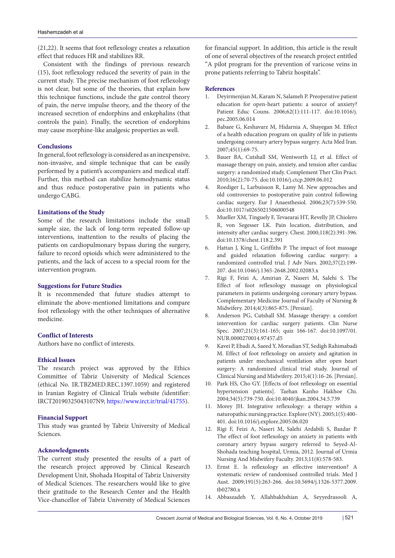(21,22). It seems that foot reflexology creates a relaxation effect that reduces HR and stabilizes RR.

Consistent with the findings of previous research (15), foot reflexology reduced the severity of pain in the current study. The precise mechanism of foot reflexology is not clear, but some of the theories, that explain how this technique functions, include the gate control theory of pain, the nerve impulse theory, and the theory of the increased secretion of endorphins and enkephalins (that controls the pain). Finally, the secretion of endorphins may cause morphine-like analgesic properties as well.

#### **Conclusions**

In general, foot reflexology is considered as an inexpensive, non-invasive, and simple technique that can be easily performed by a patient's accompaniers and medical staff. Further, this method can stabilize hemodynamic status and thus reduce postoperative pain in patients who undergo CABG.

#### **Limitations of the Study**

Some of the research limitations include the small sample size, the lack of long-term repeated follow-up interventions, inattention to the results of placing the patients on cardiopulmonary bypass during the surgery, failure to record opioids which were administered to the patients, and the lack of access to a special room for the intervention program.

#### **Suggestions for Future Studies**

It is recommended that future studies attempt to eliminate the above-mentioned limitations and compare foot reflexology with the other techniques of alternative medicine.

# **Conflict of Interests**

Authors have no conflict of interests.

#### **Ethical Issues**

The research project was approved by the Ethics Committee of Tabriz University of Medical Sciences (ethical No. IR.TBZMED.REC.1397.1059) and registered in Iranian Registry of Clinical Trials website *(*identifier: IRCT20190325043107N9; <https://www.irct.ir/trial/41755>).

#### **Financial Support**

This study was granted by Tabriz University of Medical Sciences.

#### **Acknowledgments**

The current study presented the results of a part of the research project approved by Clinical Research Development Unit, Shohada Hospital of Tabriz University of Medical Sciences. The researchers would like to give their gratitude to the Research Center and the Health Vice-chancellor of Tabriz University of Medical Sciences

for financial support. In addition, this article is the result of one of several objectives of the research project entitled "A pilot program for the prevention of varicose veins in prone patients referring to Tabriz hospitals".

#### **References**

- 1. Deyirmenjian M, Karam N, Salameh P. Preoperative patient education for open-heart patients: a source of anxiety? Patient Educ Couns. 2006;62(1):111-117. doi:10.1016/j. pec.2005.06.014
- 2. Babaee G, Keshavarz M, Hidarnia A, Shayegan M. Effect of a health education program on quality of life in patients undergoing coronary artery bypass surgery. Acta Med Iran. 2007;45(1):69-75.
- 3. Bauer BA, Cutshall SM, Wentworth LJ, et al. Effect of massage therapy on pain, anxiety, and tension after cardiac surgery: a randomized study. Complement Ther Clin Pract. 2010;16(2):70-75. doi:10.1016/j.ctcp.2009.06.012
- 4. Roediger L, Larbuisson R, Lamy M. New approaches and old controversies to postoperative pain control following cardiac surgery. Eur J Anaesthesiol. 2006;23(7):539-550. doi:10.1017/s0265021506000548
- 5. Mueller XM, Tinguely F, Tevaearai HT, Revelly JP, Chiolero R, von Segesser LK. Pain location, distribution, and intensity after cardiac surgery. Chest. 2000;118(2):391-396. doi:10.1378/chest.118.2.391
- 6. Hattan J, King L, Griffiths P. The impact of foot massage and guided relaxation following cardiac surgery: a randomized controlled trial. J Adv Nurs. 2002;37(2):199- 207. doi:10.1046/j.1365-2648.2002.02083.x
- 7. Rigi F, Feizi A, Amirian Z, Naseri M, Salehi S. The Effect of foot reflexology massage on physiological parameters in patients undergoing coronary artery bypass. Complementary Medicine Journal of Faculty of Nursing & Midwifery. 2014;4(3):865-875. [Persian].
- 8. Anderson PG, Cutshall SM. Massage therapy: a comfort intervention for cardiac surgery patients. Clin Nurse Spec. 2007;21(3):161-165; quiz 166-167. doi:10.1097/01. NUR.0000270014.97457.d5
- 9. Kavei P, Ebadi A, Saeed Y, Moradian ST, Sedigh Rahimabadi M. Effect of foot reflexology on anxiety and agitation in patients under mechanical ventilation after open heart surgery: A randomized clinical trial study. Journal of Clinical Nursing and Midwifery. 2015;4(1):16-26. [Persian].
- 10. Park HS, Cho GY. [Effects of foot reflexology on essential hypertension patients]. Taehan Kanho Hakhoe Chi. 2004;34(5):739-750. doi:10.4040/jkan.2004.34.5.739
- 11. Morey JH. Integrative reflexology: a therapy within a naturopathic nursing practice. Explore (NY). 2005;1(5):400- 401. doi:10.1016/j.explore.2005.06.020
- 12. Rigi F, Feizi A, Naseri M, Salehi Ardabili S, Bazdar P. The effect of foot reflexology on anxiety in patients with coronary artery bypass surgery referred to Seyed-Al-Shohada teaching hospital, Urmia, 2012. Journal of Urmia Nursing And Midwifery Faculty. 2013;11(8):578-583.
- 13. Ernst E. Is reflexology an effective intervention? A systematic review of randomised controlled trials. Med J Aust. 2009;191(5):263-266. doi:10.5694/j.1326-5377.2009. tb02780.x
- 14. Abbaszadeh Y, Allahbakhshian A, Seyyedrasooli A,